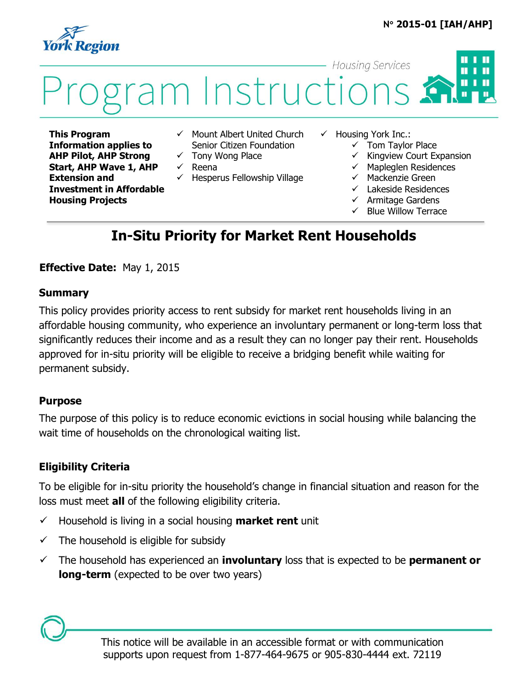#### **N 2015-01 [IAH/AHP]**

ш



# **Housing Services**  $\blacksquare$ i Instructions

**This Program Information applies to AHP Pilot, AHP Strong Start, AHP Wave 1, AHP Extension and Investment in Affordable Housing Projects**

- $\checkmark$  Mount Albert United Church Senior Citizen Foundation
- $\checkmark$  Tony Wong Place
- $\checkmark$  Reena
- $\checkmark$  Hesperus Fellowship Village
- $\checkmark$  Housing York Inc.:
	- $\checkmark$  Tom Taylor Place
	- $\checkmark$  Kingview Court Expansion
	- $\checkmark$  Mapleglen Residences
	- $\checkmark$  Mackenzie Green
	- $\checkmark$  Lakeside Residences
	- $\checkmark$  Armitage Gardens
	- Blue Willow Terrace

# **In-Situ Priority for Market Rent Households**

### **Effective Date:** May 1, 2015

#### **Summary**

This policy provides priority access to rent subsidy for market rent households living in an affordable housing community, who experience an involuntary permanent or long-term loss that significantly reduces their income and as a result they can no longer pay their rent. Households approved for in-situ priority will be eligible to receive a bridging benefit while waiting for permanent subsidy.

#### **Purpose**

The purpose of this policy is to reduce economic evictions in social housing while balancing the wait time of households on the chronological waiting list.

### **Eligibility Criteria**

To be eligible for in-situ priority the household's change in financial situation and reason for the loss must meet **all** of the following eligibility criteria.

- $\checkmark$  Household is living in a social housing **market rent** unit
- $\checkmark$  The household is eligible for subsidy
- The household has experienced an **involuntary** loss that is expected to be **permanent or long-term** (expected to be over two years)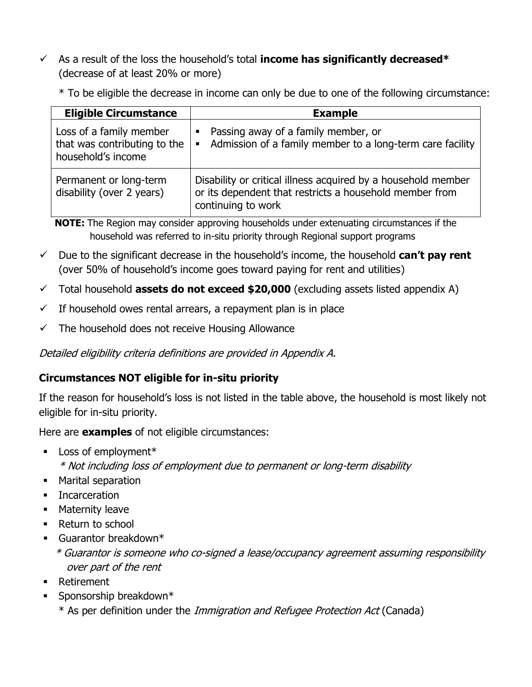As a result of the loss the household's total **income has significantly decreased\*** (decrease of at least 20% or more)

\* To be eligible the decrease in income can only be due to one of the following circumstance:

| <b>Eligible Circumstance</b>                                                  | <b>Example</b>                                                                                                                                 |
|-------------------------------------------------------------------------------|------------------------------------------------------------------------------------------------------------------------------------------------|
| Loss of a family member<br>that was contributing to the<br>household's income | Passing away of a family member, or<br>Е<br>Admission of a family member to a long-term care facility<br>$\blacksquare$                        |
| Permanent or long-term<br>disability (over 2 years)                           | Disability or critical illness acquired by a household member<br>or its dependent that restricts a household member from<br>continuing to work |

**NOTE:** The Region may consider approving households under extenuating circumstances if the household was referred to in-situ priority through Regional support programs

- $\checkmark$  Due to the significant decrease in the household's income, the household  $can't$  pay rent (over 50% of household's income goes toward paying for rent and utilities)
- Total household **assets do not exceed \$20,000** (excluding assets listed appendix A)
- $\checkmark$  If household owes rental arrears, a repayment plan is in place
- $\checkmark$  The household does not receive Housing Allowance

Detailed eligibility criteria definitions are provided in Appendix A.

## **Circumstances NOT eligible for in-situ priority**

If the reason for household's loss is not listed in the table above, the household is most likely not eligible for in-situ priority.

Here are **examples** of not eligible circumstances:

- **Loss of employment\*** 
	- \* Not including loss of employment due to permanent or long-term disability
- **Marital separation**
- **Incarceration**
- **Maternity leave**
- Return to school
- Guarantor breakdown\*
	- \* Guarantor is someone who co-signed a lease/occupancy agreement assuming responsibility over part of the rent
- **Retirement**
- $\blacksquare$  Sponsorship breakdown\*
	- \* As per definition under the Immigration and Refugee Protection Act (Canada)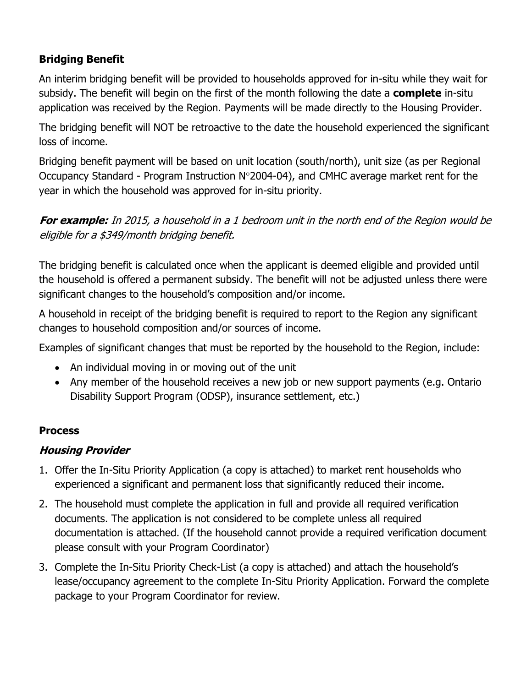# **Bridging Benefit**

An interim bridging benefit will be provided to households approved for in-situ while they wait for subsidy. The benefit will begin on the first of the month following the date a **complete** in-situ application was received by the Region. Payments will be made directly to the Housing Provider.

The bridging benefit will NOT be retroactive to the date the household experienced the significant loss of income.

Bridging benefit payment will be based on unit location (south/north), unit size (as per Regional Occupancy Standard - Program Instruction  $N^{\circ}$ 2004-04), and CMHC average market rent for the year in which the household was approved for in-situ priority.

**For example:** In 2015, a household in a 1 bedroom unit in the north end of the Region would be eligible for a \$349/month bridging benefit.

The bridging benefit is calculated once when the applicant is deemed eligible and provided until the household is offered a permanent subsidy. The benefit will not be adjusted unless there were significant changes to the household's composition and/or income.

A household in receipt of the bridging benefit is required to report to the Region any significant changes to household composition and/or sources of income.

Examples of significant changes that must be reported by the household to the Region, include:

- An individual moving in or moving out of the unit
- Any member of the household receives a new job or new support payments (e.g. Ontario Disability Support Program (ODSP), insurance settlement, etc.)

### **Process**

## **Housing Provider**

- 1. Offer the In-Situ Priority Application (a copy is attached) to market rent households who experienced a significant and permanent loss that significantly reduced their income.
- 2. The household must complete the application in full and provide all required verification documents. The application is not considered to be complete unless all required documentation is attached. (If the household cannot provide a required verification document please consult with your Program Coordinator)
- 3. Complete the In-Situ Priority Check-List (a copy is attached) and attach the household's lease/occupancy agreement to the complete In-Situ Priority Application. Forward the complete package to your Program Coordinator for review.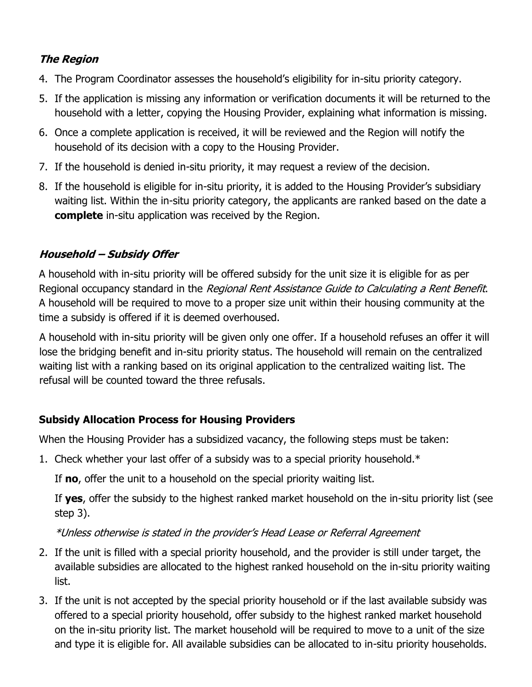# **The Region**

- 4. The Program Coordinator assesses the household's eligibility for in-situ priority category.
- 5. If the application is missing any information or verification documents it will be returned to the household with a letter, copying the Housing Provider, explaining what information is missing.
- 6. Once a complete application is received, it will be reviewed and the Region will notify the household of its decision with a copy to the Housing Provider.
- 7. If the household is denied in-situ priority, it may request a review of the decision.
- 8. If the household is eligible for in-situ priority, it is added to the Housing Provider's subsidiary waiting list. Within the in-situ priority category, the applicants are ranked based on the date a **complete** in-situ application was received by the Region.

# **Household – Subsidy Offer**

A household with in-situ priority will be offered subsidy for the unit size it is eligible for as per Regional occupancy standard in the Regional Rent Assistance Guide to Calculating a Rent Benefit. A household will be required to move to a proper size unit within their housing community at the time a subsidy is offered if it is deemed overhoused.

A household with in-situ priority will be given only one offer. If a household refuses an offer it will lose the bridging benefit and in-situ priority status. The household will remain on the centralized waiting list with a ranking based on its original application to the centralized waiting list. The refusal will be counted toward the three refusals.

## **Subsidy Allocation Process for Housing Providers**

When the Housing Provider has a subsidized vacancy, the following steps must be taken:

1. Check whether your last offer of a subsidy was to a special priority household.\*

If **no**, offer the unit to a household on the special priority waiting list.

If **yes**, offer the subsidy to the highest ranked market household on the in-situ priority list (see step 3).

\*Unless otherwise is stated in the provider's Head Lease or Referral Agreement

- 2. If the unit is filled with a special priority household, and the provider is still under target, the available subsidies are allocated to the highest ranked household on the in-situ priority waiting list.
- 3. If the unit is not accepted by the special priority household or if the last available subsidy was offered to a special priority household, offer subsidy to the highest ranked market household on the in-situ priority list. The market household will be required to move to a unit of the size and type it is eligible for. All available subsidies can be allocated to in-situ priority households.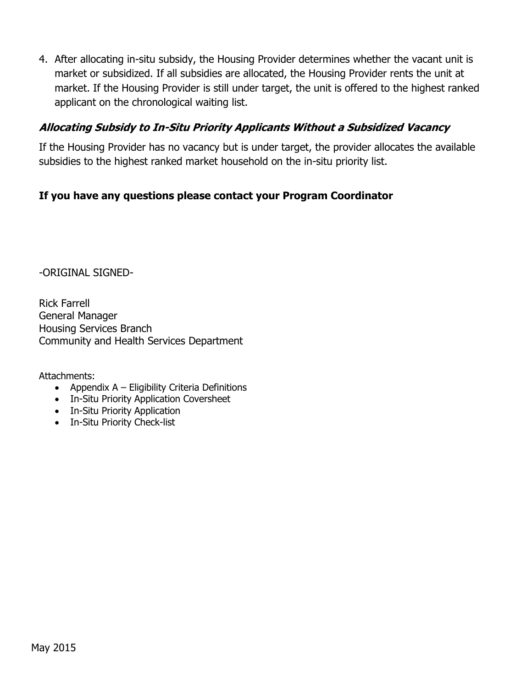4. After allocating in-situ subsidy, the Housing Provider determines whether the vacant unit is market or subsidized. If all subsidies are allocated, the Housing Provider rents the unit at market. If the Housing Provider is still under target, the unit is offered to the highest ranked applicant on the chronological waiting list.

### **Allocating Subsidy to In-Situ Priority Applicants Without a Subsidized Vacancy**

If the Housing Provider has no vacancy but is under target, the provider allocates the available subsidies to the highest ranked market household on the in-situ priority list.

### **If you have any questions please contact your Program Coordinator**

-ORIGINAL SIGNED-

Rick Farrell General Manager Housing Services Branch Community and Health Services Department

Attachments:

- Appendix  $A -$  Eligibility Criteria Definitions
- In-Situ Priority Application Coversheet
- In-Situ Priority Application
- In-Situ Priority Check-list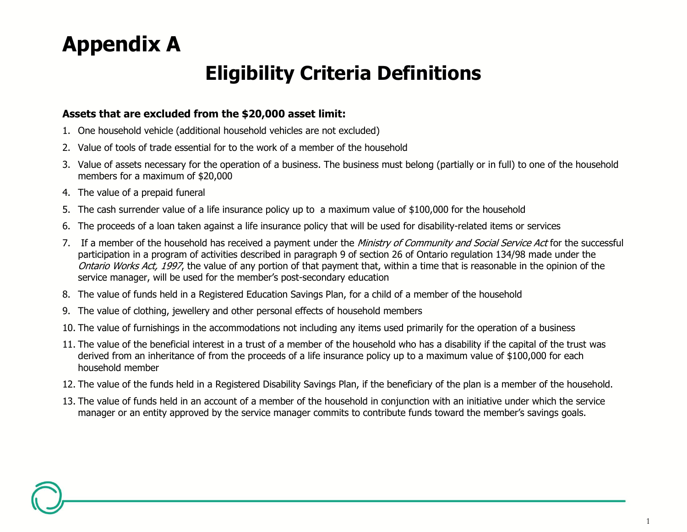# **Appendix A**

# **Eligibility Criteria Definitions**

#### **Assets that are excluded from the \$20,000 asset limit:**

- 1. One household vehicle (additional household vehicles are not excluded)
- 2. Value of tools of trade essential for to the work of a member of the household
- 3. Value of assets necessary for the operation of a business. The business must belong (partially or in full) to one of the household members for a maximum of \$20,000
- 4. The value of a prepaid funeral
- 5. The cash surrender value of a life insurance policy up to a maximum value of \$100,000 for the household
- 6. The proceeds of a loan taken against a life insurance policy that will be used for disability-related items or services
- 7. If a member of the household has received a payment under the Ministry of Community and Social Service Act for the successful participation in a program of activities described in paragraph 9 of section 26 of Ontario regulation 134/98 made under the Ontario Works Act, 1997, the value of any portion of that payment that, within a time that is reasonable in the opinion of the service manager, will be used for the member's post-secondary education
- 8. The value of funds held in a Registered Education Savings Plan, for a child of a member of the household
- 9. The value of clothing, jewellery and other personal effects of household members
- 10. The value of furnishings in the accommodations not including any items used primarily for the operation of a business
- 11. The value of the beneficial interest in a trust of a member of the household who has a disability if the capital of the trust was derived from an inheritance of from the proceeds of a life insurance policy up to a maximum value of \$100,000 for each household member
- 12. The value of the funds held in a Registered Disability Savings Plan, if the beneficiary of the plan is a member of the household.
- 13. The value of funds held in an account of a member of the household in conjunction with an initiative under which the service manager or an entity approved by the service manager commits to contribute funds toward the member's savings goals.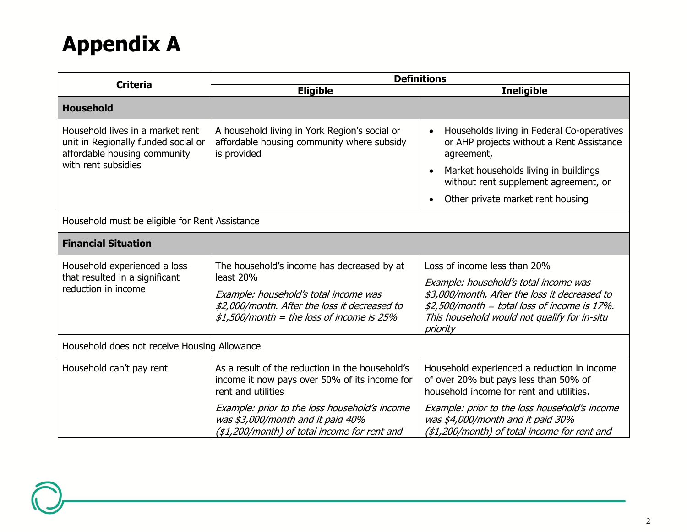# **Appendix A**

| <b>Criteria</b>                                                                                                                | <b>Definitions</b>                                                                                                                                                                               |                                                                                                                                                                                                                                      |  |  |
|--------------------------------------------------------------------------------------------------------------------------------|--------------------------------------------------------------------------------------------------------------------------------------------------------------------------------------------------|--------------------------------------------------------------------------------------------------------------------------------------------------------------------------------------------------------------------------------------|--|--|
|                                                                                                                                | <b>Eligible</b>                                                                                                                                                                                  | <b>Ineligible</b>                                                                                                                                                                                                                    |  |  |
| <b>Household</b>                                                                                                               |                                                                                                                                                                                                  |                                                                                                                                                                                                                                      |  |  |
| Household lives in a market rent<br>unit in Regionally funded social or<br>affordable housing community<br>with rent subsidies | A household living in York Region's social or<br>affordable housing community where subsidy<br>is provided                                                                                       | Households living in Federal Co-operatives<br>or AHP projects without a Rent Assistance<br>agreement,<br>Market households living in buildings<br>without rent supplement agreement, or                                              |  |  |
|                                                                                                                                |                                                                                                                                                                                                  | Other private market rent housing                                                                                                                                                                                                    |  |  |
| Household must be eligible for Rent Assistance                                                                                 |                                                                                                                                                                                                  |                                                                                                                                                                                                                                      |  |  |
| <b>Financial Situation</b>                                                                                                     |                                                                                                                                                                                                  |                                                                                                                                                                                                                                      |  |  |
| Household experienced a loss<br>that resulted in a significant<br>reduction in income                                          | The household's income has decreased by at<br>least 20%<br>Example: household's total income was<br>\$2,000/month. After the loss it decreased to<br>$$1,500/m$ onth = the loss of income is 25% | Loss of income less than 20%<br>Example: household's total income was<br>\$3,000/month. After the loss it decreased to<br>$$2,500/m$ onth = total loss of income is 17%.<br>This household would not qualify for in-situ<br>priority |  |  |
| Household does not receive Housing Allowance                                                                                   |                                                                                                                                                                                                  |                                                                                                                                                                                                                                      |  |  |
| Household can't pay rent                                                                                                       | As a result of the reduction in the household's<br>income it now pays over 50% of its income for<br>rent and utilities                                                                           | Household experienced a reduction in income<br>of over 20% but pays less than 50% of<br>household income for rent and utilities.                                                                                                     |  |  |
|                                                                                                                                | Example: prior to the loss household's income<br>was \$3,000/month and it paid 40%<br>(\$1,200/month) of total income for rent and                                                               | Example: prior to the loss household's income<br>was \$4,000/month and it paid 30%<br>(\$1,200/month) of total income for rent and                                                                                                   |  |  |